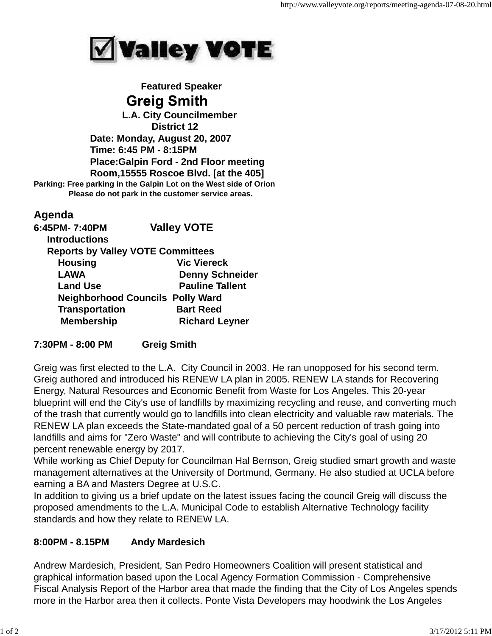

 **Featured Speaker Greig Smith L.A. City Councilmember District 12 Date: Monday, August 20, 2007 Time: 6:45 PM - 8:15PM Place:Galpin Ford - 2nd Floor meeting Room,15555 Roscoe Blvd. [at the 405] Parking: Free parking in the Galpin Lot on the West side of Orion Please do not park in the customer service areas.**

## **Agenda**

| 6:45PM-7:40PM                            | <b>Valley VOTE</b>     |
|------------------------------------------|------------------------|
| <b>Introductions</b>                     |                        |
| <b>Reports by Valley VOTE Committees</b> |                        |
| <b>Housing</b>                           | <b>Vic Viereck</b>     |
| <b>LAWA</b>                              | <b>Denny Schneider</b> |
| <b>Land Use</b>                          | <b>Pauline Tallent</b> |
| <b>Neighborhood Councils Polly Ward</b>  |                        |
| <b>Transportation</b>                    | <b>Bart Reed</b>       |
| <b>Membership</b>                        | <b>Richard Leyner</b>  |

## **7:30PM - 8:00 PM Greig Smith**

Greig was first elected to the L.A. City Council in 2003. He ran unopposed for his second term. Greig authored and introduced his RENEW LA plan in 2005. RENEW LA stands for Recovering Energy, Natural Resources and Economic Benefit from Waste for Los Angeles. This 20-year blueprint will end the City's use of landfills by maximizing recycling and reuse, and converting much of the trash that currently would go to landfills into clean electricity and valuable raw materials. The RENEW LA plan exceeds the State-mandated goal of a 50 percent reduction of trash going into landfills and aims for "Zero Waste" and will contribute to achieving the City's goal of using 20 percent renewable energy by 2017.

While working as Chief Deputy for Councilman Hal Bernson, Greig studied smart growth and waste management alternatives at the University of Dortmund, Germany. He also studied at UCLA before earning a BA and Masters Degree at U.S.C.

In addition to giving us a brief update on the latest issues facing the council Greig will discuss the proposed amendments to the L.A. Municipal Code to establish Alternative Technology facility standards and how they relate to RENEW LA.

## **8:00PM - 8.15PM Andy Mardesich**

Andrew Mardesich, President, San Pedro Homeowners Coalition will present statistical and graphical information based upon the Local Agency Formation Commission - Comprehensive Fiscal Analysis Report of the Harbor area that made the finding that the City of Los Angeles spends more in the Harbor area then it collects. Ponte Vista Developers may hoodwink the Los Angeles